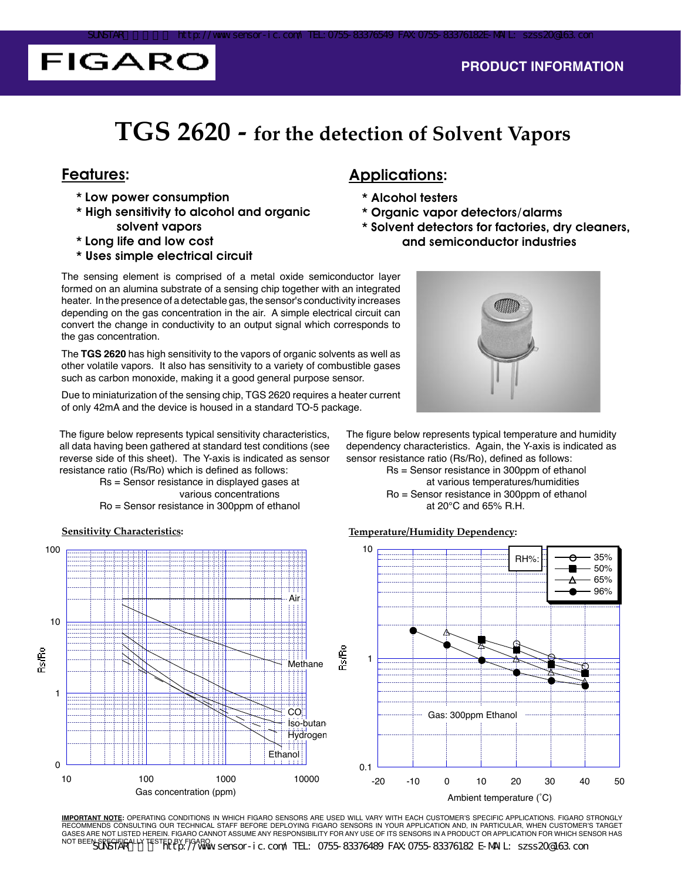# **FIGARO**

## **TGS 2620 - for the detection of Solvent Vapors**

- \* Low power consumption
- \* High sensitivity to alcohol and organic solvent vapors
- \* Long life and low cost
- \* Uses simple electrical circuit

### Features: Applications:

- \* Alcohol testers
- \* Organic vapor detectors/alarms
- \* Solvent detectors for factories, dry cleaners, and semiconductor industries

The sensing element is comprised of a metal oxide semiconductor layer formed on an alumina substrate of a sensing chip together with an integrated heater. In the presence of a detectable gas, the sensor's conductivity increases depending on the gas concentration in the air. A simple electrical circuit can convert the change in conductivity to an output signal which corresponds to the gas concentration.

The **TGS 2620** has high sensitivity to the vapors of organic solvents as well as other volatile vapors. It also has sensitivity to a variety of combustible gases such as carbon monoxide, making it a good general purpose sensor.

Due to miniaturization of the sensing chip, TGS 2620 requires a heater current of only 42mA and the device is housed in a standard TO-5 package.

The figure below represents typical sensitivity characteristics, all data having been gathered at standard test conditions (see reverse side of this sheet). The Y-axis is indicated as sensor resistance ratio (Rs/Ro) which is defined as follows:

 Rs = Sensor resistance in displayed gases at various concentrations Ro = Sensor resistance in 300ppm of ethanol





The figure below represents typical temperature and humidity dependency characteristics. Again, the Y-axis is indicated as sensor resistance ratio (Rs/Ro), defined as follows:

 Rs = Sensor resistance in 300ppm of ethanol at various temperatures/humidities Ro = Sensor resistance in 300ppm of ethanol at 20°C and 65% R.H.



**IMPORTANT NOTE:** OPERATING CONDITIONS IN WHICH FIGARO SENSORS ARE USED WILL VARY WITH EACH CUSTOMER'S SPECIFIC APPLICATIONS. FIGARO STRONGLY RECOMMENDS CONSULTING OUR TECHNICAL STAFF BEFORE DEPLOYING FIGARO SENSORS IN YOUR APPLICATION AND, IN PARTICULAR, WHEN CUSTOMER'S TARGET GASES ARE NOT LISTED HEREIN. FIGARO CANNOT ASSUME ANY RESPONSIBILITY FOR ANY USE OF ITS SENSORS IN A PRODUCT OR APPLICATION FOR WHICH SENSOR HAS

NOT BEEN SPECIFICALLY TESTED BY FIGARO.<br>NOT BEEN SPECIFICALLY TESTED BY FIGAROW SENSOR-IC. COM/ TEL: 0755-83376489 FAX 0755-83376182 E-MAIL: szss20@163.com